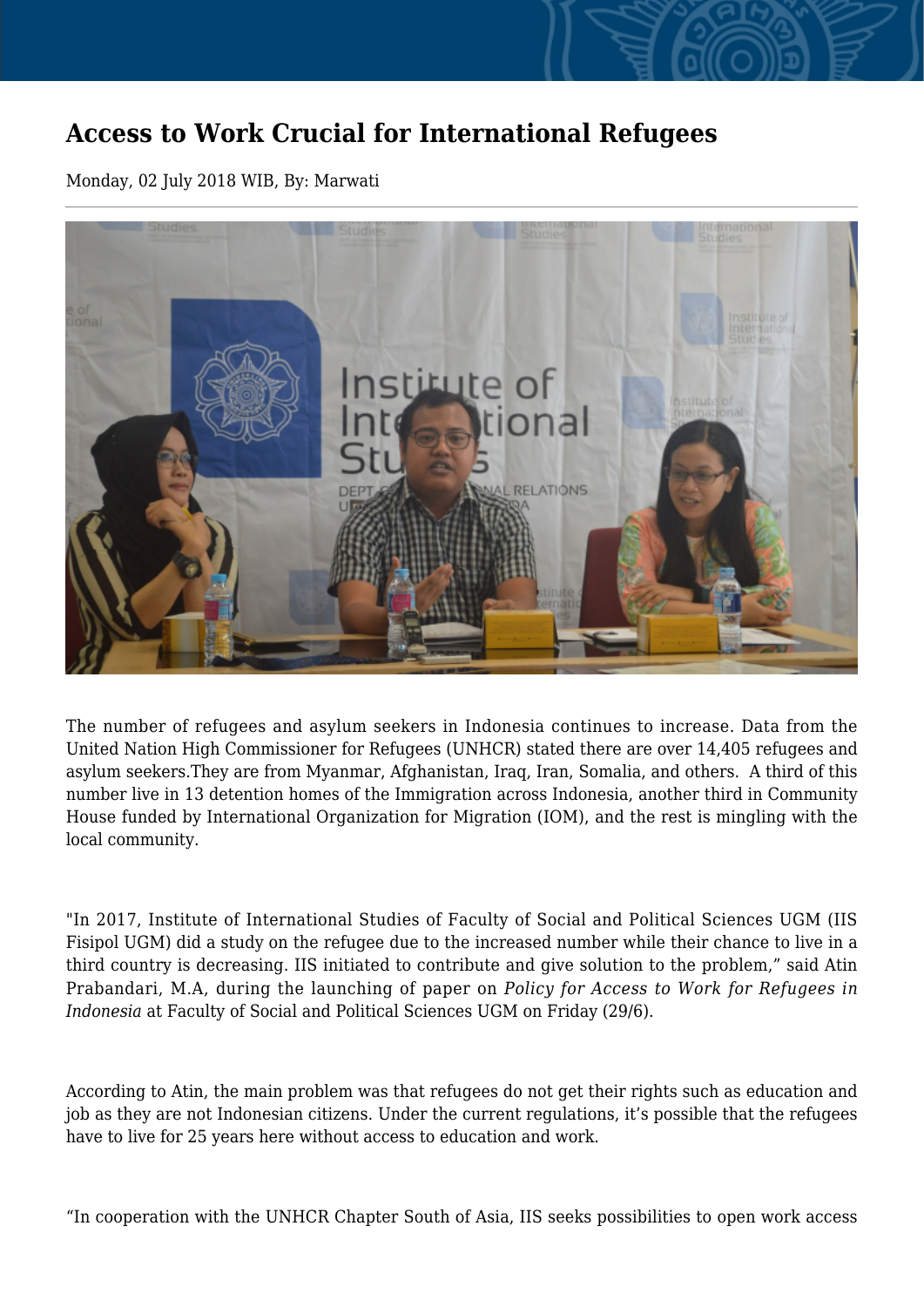## **Access to Work Crucial for International Refugees**

Monday, 02 July 2018 WIB, By: Marwati



The number of refugees and asylum seekers in Indonesia continues to increase. Data from the United Nation High Commissioner for Refugees (UNHCR) stated there are over 14,405 refugees and asylum seekers.They are from Myanmar, Afghanistan, Iraq, Iran, Somalia, and others. A third of this number live in 13 detention homes of the Immigration across Indonesia, another third in Community House funded by International Organization for Migration (IOM), and the rest is mingling with the local community.

"In 2017, Institute of International Studies of Faculty of Social and Political Sciences UGM (IIS Fisipol UGM) did a study on the refugee due to the increased number while their chance to live in a third country is decreasing. IIS initiated to contribute and give solution to the problem," said Atin Prabandari, M.A, during the launching of paper on *Policy for Access to Work for Refugees in Indonesia* at Faculty of Social and Political Sciences UGM on Friday (29/6).

According to Atin, the main problem was that refugees do not get their rights such as education and job as they are not Indonesian citizens. Under the current regulations, it's possible that the refugees have to live for 25 years here without access to education and work.

"In cooperation with the UNHCR Chapter South of Asia, IIS seeks possibilities to open work access